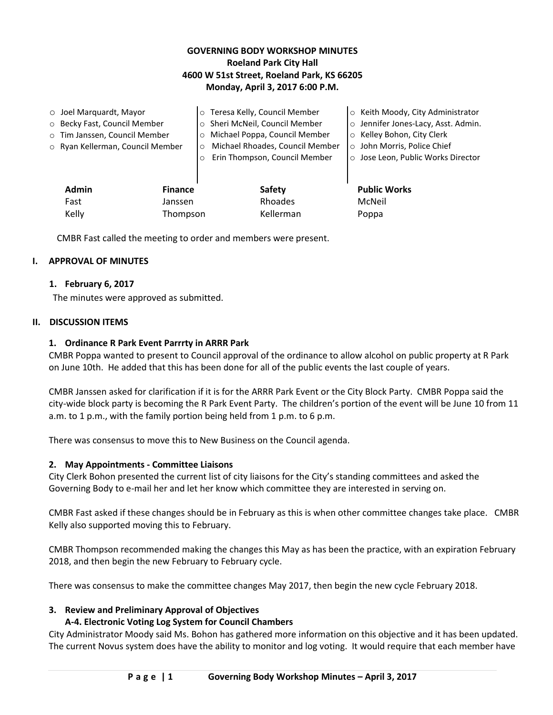# **GOVERNING BODY WORKSHOP MINUTES Roeland Park City Hall 4600 W 51st Street, Roeland Park, KS 66205 Monday, April 3, 2017 6:00 P.M.**

|                   | $\circ$ Joel Marquardt, Mayor    |          | o Teresa Kelly, Council Member  | ○ Keith Moody, City Administrator   |
|-------------------|----------------------------------|----------|---------------------------------|-------------------------------------|
|                   | o Becky Fast, Council Member     |          | o Sheri McNeil, Council Member  | o Jennifer Jones-Lacy, Asst. Admin. |
|                   | o Tim Janssen, Council Member    | $\Omega$ | Michael Poppa, Council Member   | ○ Kelley Bohon, City Clerk          |
|                   | o Ryan Kellerman, Council Member | $\circ$  | Michael Rhoades, Council Member | o John Morris, Police Chief         |
|                   |                                  |          | Erin Thompson, Council Member   | o Jose Leon, Public Works Director  |
|                   |                                  |          |                                 |                                     |
|                   | <b>Admin</b><br><b>Finance</b>   |          | Safety                          | <b>Public Works</b>                 |
|                   | Fast<br>Janssen                  |          | Rhoades                         | McNeil                              |
| Kelly<br>Thompson |                                  |          | Kellerman                       | Poppa                               |

CMBR Fast called the meeting to order and members were present.

### **I. APPROVAL OF MINUTES**

#### **1. February 6, 2017**

The minutes were approved as submitted.

#### **II. DISCUSSION ITEMS**

#### **1. Ordinance R Park Event Parrrty in ARRR Park**

CMBR Poppa wanted to present to Council approval of the ordinance to allow alcohol on public property at R Park on June 10th. He added that this has been done for all of the public events the last couple of years.

CMBR Janssen asked for clarification if it is for the ARRR Park Event or the City Block Party. CMBR Poppa said the city-wide block party is becoming the R Park Event Party. The children's portion of the event will be June 10 from 11 a.m. to 1 p.m., with the family portion being held from 1 p.m. to 6 p.m.

There was consensus to move this to New Business on the Council agenda.

#### **2. May Appointments - Committee Liaisons**

City Clerk Bohon presented the current list of city liaisons for the City's standing committees and asked the Governing Body to e-mail her and let her know which committee they are interested in serving on.

CMBR Fast asked if these changes should be in February as this is when other committee changes take place. CMBR Kelly also supported moving this to February.

CMBR Thompson recommended making the changes this May as has been the practice, with an expiration February 2018, and then begin the new February to February cycle.

There was consensus to make the committee changes May 2017, then begin the new cycle February 2018.

#### **3. Review and Preliminary Approval of Objectives**

#### **A-4. Electronic Voting Log System for Council Chambers**

City Administrator Moody said Ms. Bohon has gathered more information on this objective and it has been updated. The current Novus system does have the ability to monitor and log voting. It would require that each member have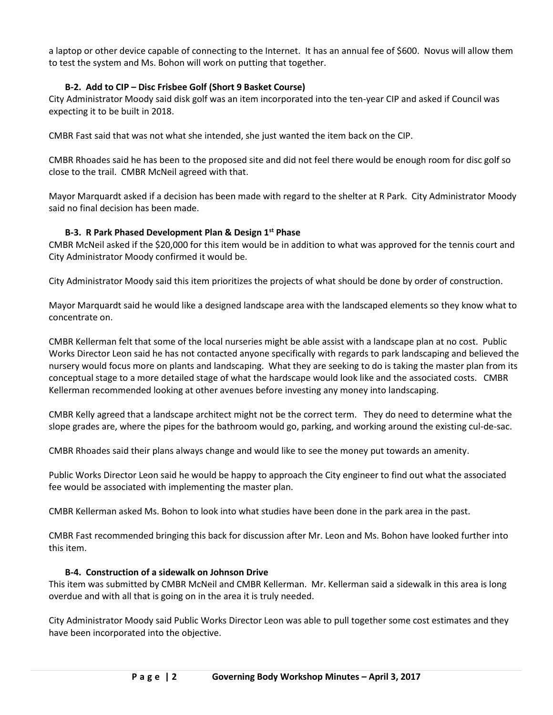a laptop or other device capable of connecting to the Internet. It has an annual fee of \$600. Novus will allow them to test the system and Ms. Bohon will work on putting that together.

# **B-2. Add to CIP – Disc Frisbee Golf (Short 9 Basket Course)**

City Administrator Moody said disk golf was an item incorporated into the ten-year CIP and asked if Council was expecting it to be built in 2018.

CMBR Fast said that was not what she intended, she just wanted the item back on the CIP.

CMBR Rhoades said he has been to the proposed site and did not feel there would be enough room for disc golf so close to the trail. CMBR McNeil agreed with that.

Mayor Marquardt asked if a decision has been made with regard to the shelter at R Park. City Administrator Moody said no final decision has been made.

# **B-3. R Park Phased Development Plan & Design 1st Phase**

CMBR McNeil asked if the \$20,000 for this item would be in addition to what was approved for the tennis court and City Administrator Moody confirmed it would be.

City Administrator Moody said this item prioritizes the projects of what should be done by order of construction.

Mayor Marquardt said he would like a designed landscape area with the landscaped elements so they know what to concentrate on.

CMBR Kellerman felt that some of the local nurseries might be able assist with a landscape plan at no cost. Public Works Director Leon said he has not contacted anyone specifically with regards to park landscaping and believed the nursery would focus more on plants and landscaping. What they are seeking to do is taking the master plan from its conceptual stage to a more detailed stage of what the hardscape would look like and the associated costs. CMBR Kellerman recommended looking at other avenues before investing any money into landscaping.

CMBR Kelly agreed that a landscape architect might not be the correct term. They do need to determine what the slope grades are, where the pipes for the bathroom would go, parking, and working around the existing cul-de-sac.

CMBR Rhoades said their plans always change and would like to see the money put towards an amenity.

Public Works Director Leon said he would be happy to approach the City engineer to find out what the associated fee would be associated with implementing the master plan.

CMBR Kellerman asked Ms. Bohon to look into what studies have been done in the park area in the past.

CMBR Fast recommended bringing this back for discussion after Mr. Leon and Ms. Bohon have looked further into this item.

# **B-4. Construction of a sidewalk on Johnson Drive**

This item was submitted by CMBR McNeil and CMBR Kellerman. Mr. Kellerman said a sidewalk in this area is long overdue and with all that is going on in the area it is truly needed.

City Administrator Moody said Public Works Director Leon was able to pull together some cost estimates and they have been incorporated into the objective.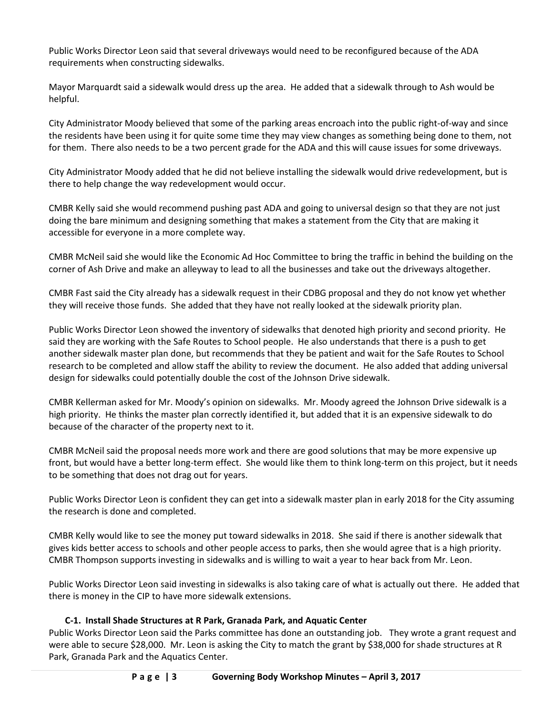Public Works Director Leon said that several driveways would need to be reconfigured because of the ADA requirements when constructing sidewalks.

Mayor Marquardt said a sidewalk would dress up the area. He added that a sidewalk through to Ash would be helpful.

City Administrator Moody believed that some of the parking areas encroach into the public right-of-way and since the residents have been using it for quite some time they may view changes as something being done to them, not for them. There also needs to be a two percent grade for the ADA and this will cause issues for some driveways.

City Administrator Moody added that he did not believe installing the sidewalk would drive redevelopment, but is there to help change the way redevelopment would occur.

CMBR Kelly said she would recommend pushing past ADA and going to universal design so that they are not just doing the bare minimum and designing something that makes a statement from the City that are making it accessible for everyone in a more complete way.

CMBR McNeil said she would like the Economic Ad Hoc Committee to bring the traffic in behind the building on the corner of Ash Drive and make an alleyway to lead to all the businesses and take out the driveways altogether.

CMBR Fast said the City already has a sidewalk request in their CDBG proposal and they do not know yet whether they will receive those funds. She added that they have not really looked at the sidewalk priority plan.

Public Works Director Leon showed the inventory of sidewalks that denoted high priority and second priority. He said they are working with the Safe Routes to School people. He also understands that there is a push to get another sidewalk master plan done, but recommends that they be patient and wait for the Safe Routes to School research to be completed and allow staff the ability to review the document. He also added that adding universal design for sidewalks could potentially double the cost of the Johnson Drive sidewalk.

CMBR Kellerman asked for Mr. Moody's opinion on sidewalks. Mr. Moody agreed the Johnson Drive sidewalk is a high priority. He thinks the master plan correctly identified it, but added that it is an expensive sidewalk to do because of the character of the property next to it.

CMBR McNeil said the proposal needs more work and there are good solutions that may be more expensive up front, but would have a better long-term effect. She would like them to think long-term on this project, but it needs to be something that does not drag out for years.

Public Works Director Leon is confident they can get into a sidewalk master plan in early 2018 for the City assuming the research is done and completed.

CMBR Kelly would like to see the money put toward sidewalks in 2018. She said if there is another sidewalk that gives kids better access to schools and other people access to parks, then she would agree that is a high priority. CMBR Thompson supports investing in sidewalks and is willing to wait a year to hear back from Mr. Leon.

Public Works Director Leon said investing in sidewalks is also taking care of what is actually out there. He added that there is money in the CIP to have more sidewalk extensions.

# **C-1. Install Shade Structures at R Park, Granada Park, and Aquatic Center**

Public Works Director Leon said the Parks committee has done an outstanding job. They wrote a grant request and were able to secure \$28,000. Mr. Leon is asking the City to match the grant by \$38,000 for shade structures at R Park, Granada Park and the Aquatics Center.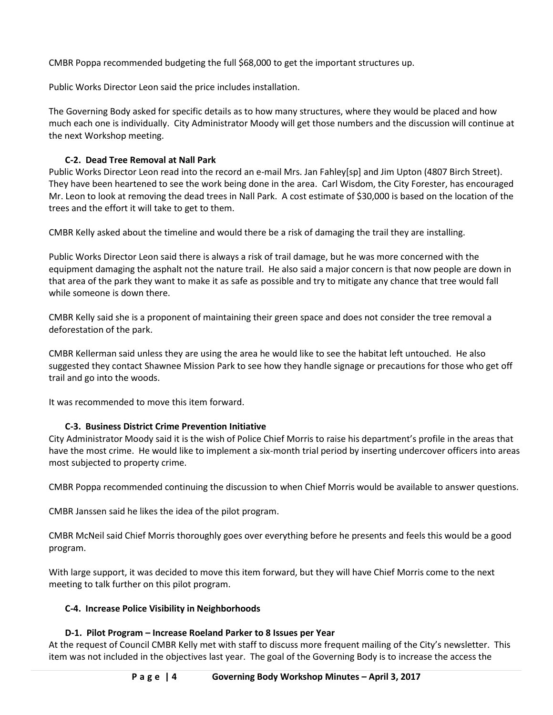CMBR Poppa recommended budgeting the full \$68,000 to get the important structures up.

Public Works Director Leon said the price includes installation.

The Governing Body asked for specific details as to how many structures, where they would be placed and how much each one is individually. City Administrator Moody will get those numbers and the discussion will continue at the next Workshop meeting.

# **C-2. Dead Tree Removal at Nall Park**

Public Works Director Leon read into the record an e-mail Mrs. Jan Fahley[sp] and Jim Upton (4807 Birch Street). They have been heartened to see the work being done in the area. Carl Wisdom, the City Forester, has encouraged Mr. Leon to look at removing the dead trees in Nall Park. A cost estimate of \$30,000 is based on the location of the trees and the effort it will take to get to them.

CMBR Kelly asked about the timeline and would there be a risk of damaging the trail they are installing.

Public Works Director Leon said there is always a risk of trail damage, but he was more concerned with the equipment damaging the asphalt not the nature trail. He also said a major concern is that now people are down in that area of the park they want to make it as safe as possible and try to mitigate any chance that tree would fall while someone is down there.

CMBR Kelly said she is a proponent of maintaining their green space and does not consider the tree removal a deforestation of the park.

CMBR Kellerman said unless they are using the area he would like to see the habitat left untouched. He also suggested they contact Shawnee Mission Park to see how they handle signage or precautions for those who get off trail and go into the woods.

It was recommended to move this item forward.

# **C-3. Business District Crime Prevention Initiative**

City Administrator Moody said it is the wish of Police Chief Morris to raise his department's profile in the areas that have the most crime. He would like to implement a six-month trial period by inserting undercover officers into areas most subjected to property crime.

CMBR Poppa recommended continuing the discussion to when Chief Morris would be available to answer questions.

CMBR Janssen said he likes the idea of the pilot program.

CMBR McNeil said Chief Morris thoroughly goes over everything before he presents and feels this would be a good program.

With large support, it was decided to move this item forward, but they will have Chief Morris come to the next meeting to talk further on this pilot program.

# **C-4. Increase Police Visibility in Neighborhoods**

# **D-1. Pilot Program – Increase Roeland Parker to 8 Issues per Year**

At the request of Council CMBR Kelly met with staff to discuss more frequent mailing of the City's newsletter. This item was not included in the objectives last year. The goal of the Governing Body is to increase the access the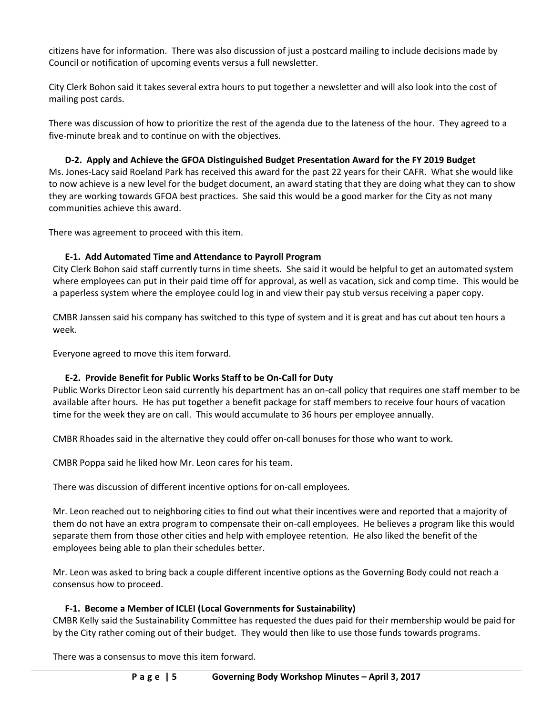citizens have for information. There was also discussion of just a postcard mailing to include decisions made by Council or notification of upcoming events versus a full newsletter.

City Clerk Bohon said it takes several extra hours to put together a newsletter and will also look into the cost of mailing post cards.

There was discussion of how to prioritize the rest of the agenda due to the lateness of the hour. They agreed to a five-minute break and to continue on with the objectives.

# **D-2. Apply and Achieve the GFOA Distinguished Budget Presentation Award for the FY 2019 Budget**

Ms. Jones-Lacy said Roeland Park has received this award for the past 22 years for their CAFR. What she would like to now achieve is a new level for the budget document, an award stating that they are doing what they can to show they are working towards GFOA best practices. She said this would be a good marker for the City as not many communities achieve this award.

There was agreement to proceed with this item.

# **E-1. Add Automated Time and Attendance to Payroll Program**

City Clerk Bohon said staff currently turns in time sheets. She said it would be helpful to get an automated system where employees can put in their paid time off for approval, as well as vacation, sick and comp time. This would be a paperless system where the employee could log in and view their pay stub versus receiving a paper copy.

CMBR Janssen said his company has switched to this type of system and it is great and has cut about ten hours a week.

Everyone agreed to move this item forward.

# **E-2. Provide Benefit for Public Works Staff to be On-Call for Duty**

Public Works Director Leon said currently his department has an on-call policy that requires one staff member to be available after hours. He has put together a benefit package for staff members to receive four hours of vacation time for the week they are on call. This would accumulate to 36 hours per employee annually.

CMBR Rhoades said in the alternative they could offer on-call bonuses for those who want to work.

CMBR Poppa said he liked how Mr. Leon cares for his team.

There was discussion of different incentive options for on-call employees.

Mr. Leon reached out to neighboring cities to find out what their incentives were and reported that a majority of them do not have an extra program to compensate their on-call employees. He believes a program like this would separate them from those other cities and help with employee retention. He also liked the benefit of the employees being able to plan their schedules better.

Mr. Leon was asked to bring back a couple different incentive options as the Governing Body could not reach a consensus how to proceed.

# **F-1. Become a Member of ICLEI (Local Governments for Sustainability)**

CMBR Kelly said the Sustainability Committee has requested the dues paid for their membership would be paid for by the City rather coming out of their budget. They would then like to use those funds towards programs.

There was a consensus to move this item forward.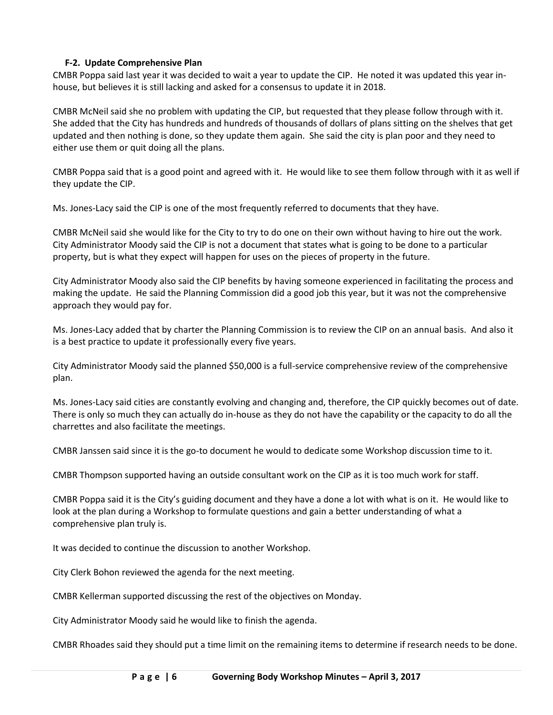### **F-2. Update Comprehensive Plan**

CMBR Poppa said last year it was decided to wait a year to update the CIP. He noted it was updated this year inhouse, but believes it is still lacking and asked for a consensus to update it in 2018.

CMBR McNeil said she no problem with updating the CIP, but requested that they please follow through with it. She added that the City has hundreds and hundreds of thousands of dollars of plans sitting on the shelves that get updated and then nothing is done, so they update them again. She said the city is plan poor and they need to either use them or quit doing all the plans.

CMBR Poppa said that is a good point and agreed with it. He would like to see them follow through with it as well if they update the CIP.

Ms. Jones-Lacy said the CIP is one of the most frequently referred to documents that they have.

CMBR McNeil said she would like for the City to try to do one on their own without having to hire out the work. City Administrator Moody said the CIP is not a document that states what is going to be done to a particular property, but is what they expect will happen for uses on the pieces of property in the future.

City Administrator Moody also said the CIP benefits by having someone experienced in facilitating the process and making the update. He said the Planning Commission did a good job this year, but it was not the comprehensive approach they would pay for.

Ms. Jones-Lacy added that by charter the Planning Commission is to review the CIP on an annual basis. And also it is a best practice to update it professionally every five years.

City Administrator Moody said the planned \$50,000 is a full-service comprehensive review of the comprehensive plan.

Ms. Jones-Lacy said cities are constantly evolving and changing and, therefore, the CIP quickly becomes out of date. There is only so much they can actually do in-house as they do not have the capability or the capacity to do all the charrettes and also facilitate the meetings.

CMBR Janssen said since it is the go-to document he would to dedicate some Workshop discussion time to it.

CMBR Thompson supported having an outside consultant work on the CIP as it is too much work for staff.

CMBR Poppa said it is the City's guiding document and they have a done a lot with what is on it. He would like to look at the plan during a Workshop to formulate questions and gain a better understanding of what a comprehensive plan truly is.

It was decided to continue the discussion to another Workshop.

City Clerk Bohon reviewed the agenda for the next meeting.

CMBR Kellerman supported discussing the rest of the objectives on Monday.

City Administrator Moody said he would like to finish the agenda.

CMBR Rhoades said they should put a time limit on the remaining items to determine if research needs to be done.